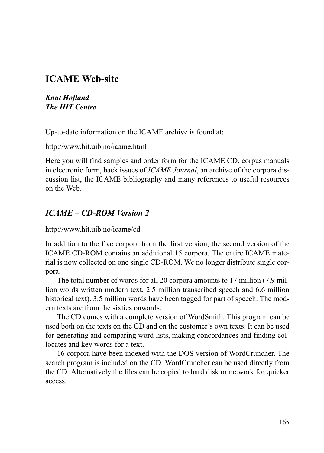## **ICAME Web-site**

*Knut Hofland The HIT Centre*

Up-to-date information on the ICAME archive is found at:

http://www.hit.uib.no/icame.html

Here you will find samples and order form for the ICAME CD, corpus manuals in electronic form, back issues of *ICAME Journal*, an archive of the corpora discussion list, the ICAME bibliography and many references to useful resources on the Web.

## *ICAME – CD-ROM Version 2*

http://www.hit.uib.no/icame/cd

In addition to the five corpora from the first version, the second version of the ICAME CD-ROM contains an additional 15 corpora. The entire ICAME material is now collected on one single CD-ROM. We no longer distribute single corpora.

The total number of words for all 20 corpora amounts to 17 million (7.9 million words written modern text, 2.5 million transcribed speech and 6.6 million historical text). 3.5 million words have been tagged for part of speech. The modern texts are from the sixties onwards.

The CD comes with a complete version of WordSmith. This program can be used both on the texts on the CD and on the customer's own texts. It can be used for generating and comparing word lists, making concordances and finding collocates and key words for a text.

16 corpora have been indexed with the DOS version of WordCruncher. The search program is included on the CD. WordCruncher can be used directly from the CD. Alternatively the files can be copied to hard disk or network for quicker access.